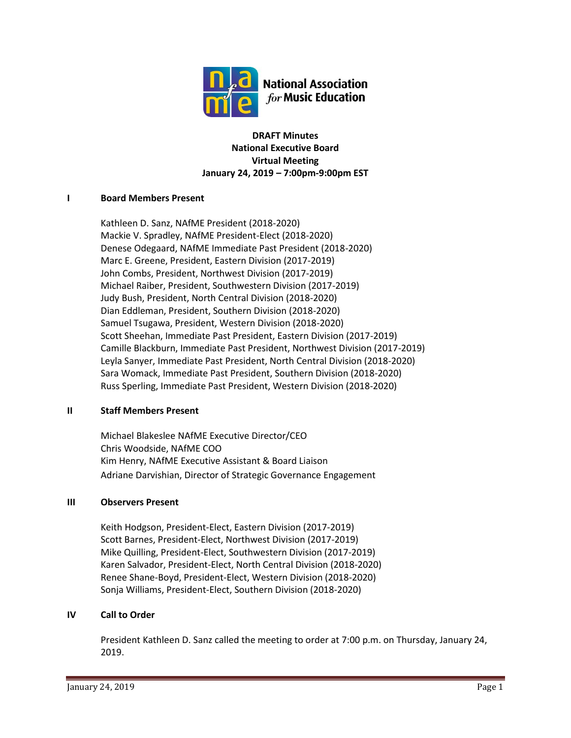

**DRAFT Minutes National Executive Board Virtual Meeting January 24, 2019 – 7:00pm-9:00pm EST**

#### **I Board Members Present**

Kathleen D. Sanz, NAfME President (2018-2020) Mackie V. Spradley, NAfME President-Elect (2018-2020) Denese Odegaard, NAfME Immediate Past President (2018-2020) Marc E. Greene, President, Eastern Division (2017-2019) John Combs, President, Northwest Division (2017-2019) Michael Raiber, President, Southwestern Division (2017-2019) Judy Bush, President, North Central Division (2018-2020) Dian Eddleman, President, Southern Division (2018-2020) Samuel Tsugawa, President, Western Division (2018-2020) Scott Sheehan, Immediate Past President, Eastern Division (2017-2019) Camille Blackburn, Immediate Past President, Northwest Division (2017-2019) Leyla Sanyer, Immediate Past President, North Central Division (2018-2020) Sara Womack, Immediate Past President, Southern Division (2018-2020) Russ Sperling, Immediate Past President, Western Division (2018-2020)

#### **II Staff Members Present**

Michael Blakeslee NAfME Executive Director/CEO Chris Woodside, NAfME COO Kim Henry, NAfME Executive Assistant & Board Liaison Adriane Darvishian, Director of Strategic Governance Engagement

## **III Observers Present**

Keith Hodgson, President-Elect, Eastern Division (2017-2019) Scott Barnes, President-Elect, Northwest Division (2017-2019) Mike Quilling, President-Elect, Southwestern Division (2017-2019) Karen Salvador, President-Elect, North Central Division (2018-2020) Renee Shane-Boyd, President-Elect, Western Division (2018-2020) Sonja Williams, President-Elect, Southern Division (2018-2020)

#### **IV Call to Order**

President Kathleen D. Sanz called the meeting to order at 7:00 p.m. on Thursday, January 24, 2019.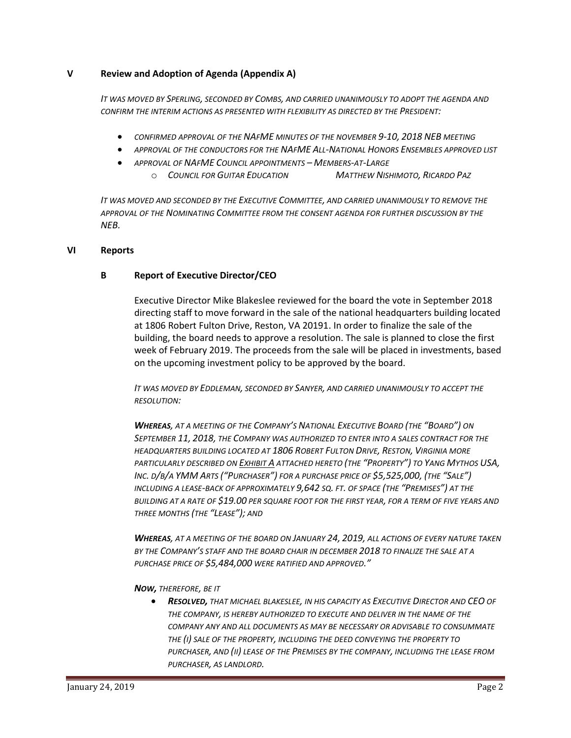### **V Review and Adoption of Agenda (Appendix A)**

*IT WAS MOVED BY SPERLING, SECONDED BY COMBS, AND CARRIED UNANIMOUSLY TO ADOPT THE AGENDA AND CONFIRM THE INTERIM ACTIONS AS PRESENTED WITH FLEXIBILITY AS DIRECTED BY THE PRESIDENT:*

- *CONFIRMED APPROVAL OF THE NAFME MINUTES OF THE NOVEMBER 9-10, 2018 NEB MEETING*
- *APPROVAL OF THE CONDUCTORS FOR THE NAFME ALL-NATIONAL HONORS ENSEMBLES APPROVED LIST*
- *APPROVAL OF NAFME COUNCIL APPOINTMENTS – MEMBERS-AT-LARGE*
	- o *COUNCIL FOR GUITAR EDUCATION MATTHEW NISHIMOTO, RICARDO PAZ*

*IT WAS MOVED AND SECONDED BY THE EXECUTIVE COMMITTEE, AND CARRIED UNANIMOUSLY TO REMOVE THE APPROVAL OF THE NOMINATING COMMITTEE FROM THE CONSENT AGENDA FOR FURTHER DISCUSSION BY THE NEB.*

#### **VI Reports**

#### **B Report of Executive Director/CEO**

Executive Director Mike Blakeslee reviewed for the board the vote in September 2018 directing staff to move forward in the sale of the national headquarters building located at 1806 Robert Fulton Drive, Reston, VA 20191. In order to finalize the sale of the building, the board needs to approve a resolution. The sale is planned to close the first week of February 2019. The proceeds from the sale will be placed in investments, based on the upcoming investment policy to be approved by the board.

*IT WAS MOVED BY EDDLEMAN, SECONDED BY SANYER, AND CARRIED UNANIMOUSLY TO ACCEPT THE RESOLUTION:*

*WHEREAS, AT A MEETING OF THE COMPANY'S NATIONAL EXECUTIVE BOARD (THE "BOARD") ON SEPTEMBER 11, 2018, THE COMPANY WAS AUTHORIZED TO ENTER INTO A SALES CONTRACT FOR THE HEADQUARTERS BUILDING LOCATED AT 1806 ROBERT FULTON DRIVE, RESTON, VIRGINIA MORE PARTICULARLY DESCRIBED ON EXHIBIT A ATTACHED HERETO (THE "PROPERTY") TO YANG MYTHOS USA,* INC. D/B/A YMM ARTS ("PURCHASER") FOR A PURCHASE PRICE OF \$5,525,000, (THE "SALE") *INCLUDING A LEASE-BACK OF APPROXIMATELY 9,642 SQ. FT. OF SPACE (THE "PREMISES") AT THE BUILDING AT A RATE OF \$19.00 PER SQUARE FOOT FOR THE FIRST YEAR, FOR A TERM OF FIVE YEARS AND THREE MONTHS (THE "LEASE"); AND* 

*WHEREAS, AT A MEETING OF THE BOARD ON JANUARY 24, 2019, ALL ACTIONS OF EVERY NATURE TAKEN BY THE COMPANY'S STAFF AND THE BOARD CHAIR IN DECEMBER 2018 TO FINALIZE THE SALE AT A PURCHASE PRICE OF \$5,484,000 WERE RATIFIED AND APPROVED."*

*NOW, THEREFORE, BE IT* 

• *RESOLVED, THAT MICHAEL BLAKESLEE, IN HIS CAPACITY AS EXECUTIVE DIRECTOR AND CEO OF THE COMPANY, IS HEREBY AUTHORIZED TO EXECUTE AND DELIVER IN THE NAME OF THE COMPANY ANY AND ALL DOCUMENTS AS MAY BE NECESSARY OR ADVISABLE TO CONSUMMATE THE (I) SALE OF THE PROPERTY, INCLUDING THE DEED CONVEYING THE PROPERTY TO PURCHASER, AND (II) LEASE OF THE PREMISES BY THE COMPANY, INCLUDING THE LEASE FROM PURCHASER, AS LANDLORD.*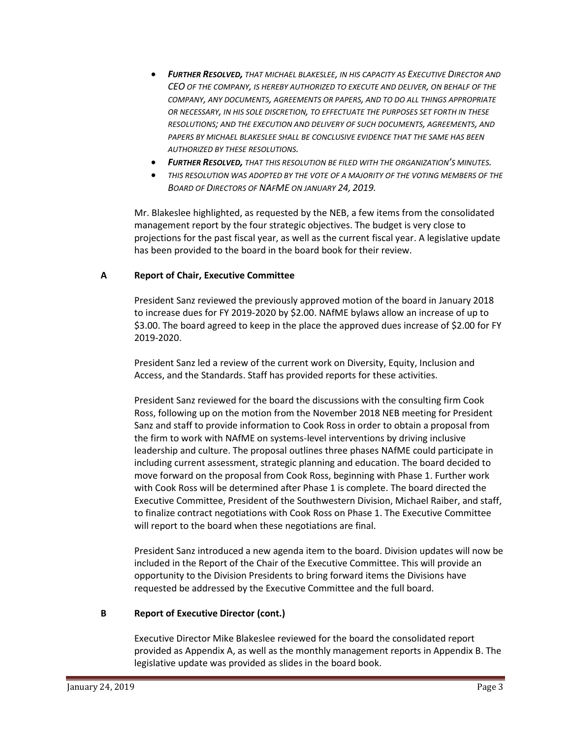- *FURTHER RESOLVED, THAT MICHAEL BLAKESLEE, IN HIS CAPACITY AS EXECUTIVE DIRECTOR AND CEO OF THE COMPANY, IS HEREBY AUTHORIZED TO EXECUTE AND DELIVER, ON BEHALF OF THE COMPANY, ANY DOCUMENTS, AGREEMENTS OR PAPERS, AND TO DO ALL THINGS APPROPRIATE OR NECESSARY, IN HIS SOLE DISCRETION, TO EFFECTUATE THE PURPOSES SET FORTH IN THESE RESOLUTIONS; AND THE EXECUTION AND DELIVERY OF SUCH DOCUMENTS, AGREEMENTS, AND PAPERS BY MICHAEL BLAKESLEE SHALL BE CONCLUSIVE EVIDENCE THAT THE SAME HAS BEEN AUTHORIZED BY THESE RESOLUTIONS.*
- *FURTHER RESOLVED, THAT THIS RESOLUTION BE FILED WITH THE ORGANIZATION'S MINUTES.*
- *THIS RESOLUTION WAS ADOPTED BY THE VOTE OF A MAJORITY OF THE VOTING MEMBERS OF THE BOARD OF DIRECTORS OF NAFME ON JANUARY 24, 2019.*

Mr. Blakeslee highlighted, as requested by the NEB, a few items from the consolidated management report by the four strategic objectives. The budget is very close to projections for the past fiscal year, as well as the current fiscal year. A legislative update has been provided to the board in the board book for their review.

## **A Report of Chair, Executive Committee**

President Sanz reviewed the previously approved motion of the board in January 2018 to increase dues for FY 2019-2020 by \$2.00. NAfME bylaws allow an increase of up to \$3.00. The board agreed to keep in the place the approved dues increase of \$2.00 for FY 2019-2020.

President Sanz led a review of the current work on Diversity, Equity, Inclusion and Access, and the Standards. Staff has provided reports for these activities.

President Sanz reviewed for the board the discussions with the consulting firm Cook Ross, following up on the motion from the November 2018 NEB meeting for President Sanz and staff to provide information to Cook Ross in order to obtain a proposal from the firm to work with NAfME on systems-level interventions by driving inclusive leadership and culture. The proposal outlines three phases NAfME could participate in including current assessment, strategic planning and education. The board decided to move forward on the proposal from Cook Ross, beginning with Phase 1. Further work with Cook Ross will be determined after Phase 1 is complete. The board directed the Executive Committee, President of the Southwestern Division, Michael Raiber, and staff, to finalize contract negotiations with Cook Ross on Phase 1. The Executive Committee will report to the board when these negotiations are final.

President Sanz introduced a new agenda item to the board. Division updates will now be included in the Report of the Chair of the Executive Committee. This will provide an opportunity to the Division Presidents to bring forward items the Divisions have requested be addressed by the Executive Committee and the full board.

## **B Report of Executive Director (cont.)**

Executive Director Mike Blakeslee reviewed for the board the consolidated report provided as Appendix A, as well as the monthly management reports in Appendix B. The legislative update was provided as slides in the board book.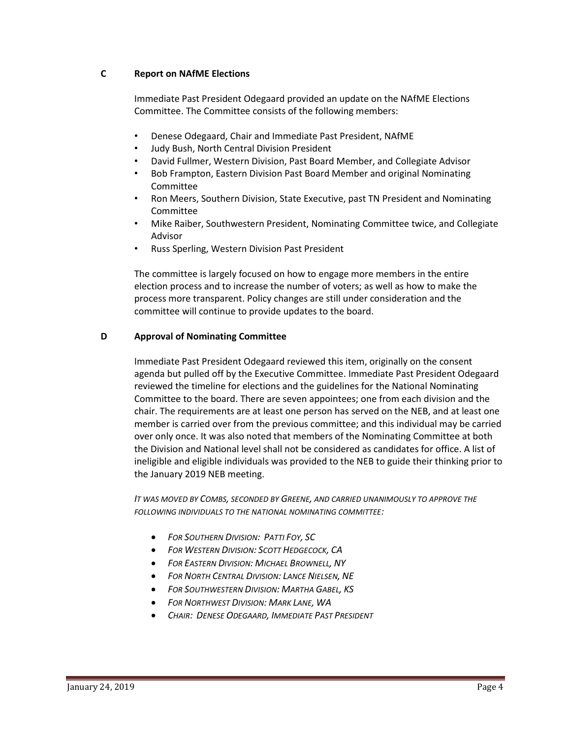## **C Report on NAfME Elections**

Immediate Past President Odegaard provided an update on the NAfME Elections Committee. The Committee consists of the following members:

- Denese Odegaard, Chair and Immediate Past President, NAfME
- Judy Bush, North Central Division President
- David Fullmer, Western Division, Past Board Member, and Collegiate Advisor
- Bob Frampton, Eastern Division Past Board Member and original Nominating Committee
- Ron Meers, Southern Division, State Executive, past TN President and Nominating Committee
- Mike Raiber, Southwestern President, Nominating Committee twice, and Collegiate Advisor
- Russ Sperling, Western Division Past President

The committee is largely focused on how to engage more members in the entire election process and to increase the number of voters; as well as how to make the process more transparent. Policy changes are still under consideration and the committee will continue to provide updates to the board.

## **D Approval of Nominating Committee**

Immediate Past President Odegaard reviewed this item, originally on the consent agenda but pulled off by the Executive Committee. Immediate Past President Odegaard reviewed the timeline for elections and the guidelines for the National Nominating Committee to the board. There are seven appointees; one from each division and the chair. The requirements are at least one person has served on the NEB, and at least one member is carried over from the previous committee; and this individual may be carried over only once. It was also noted that members of the Nominating Committee at both the Division and National level shall not be considered as candidates for office. A list of ineligible and eligible individuals was provided to the NEB to guide their thinking prior to the January 2019 NEB meeting.

*IT WAS MOVED BY COMBS, SECONDED BY GREENE, AND CARRIED UNANIMOUSLY TO APPROVE THE FOLLOWING INDIVIDUALS TO THE NATIONAL NOMINATING COMMITTEE:*

- *FOR SOUTHERN DIVISION: PATTI FOY, SC*
- *FOR WESTERN DIVISION: SCOTT HEDGECOCK, CA*
- *FOR EASTERN DIVISION: MICHAEL BROWNELL, NY*
- *FOR NORTH CENTRAL DIVISION: LANCE NIELSEN, NE*
- *FOR SOUTHWESTERN DIVISION: MARTHA GABEL, KS*
- *FOR NORTHWEST DIVISION: MARK LANE, WA*
- *CHAIR: DENESE ODEGAARD, IMMEDIATE PAST PRESIDENT*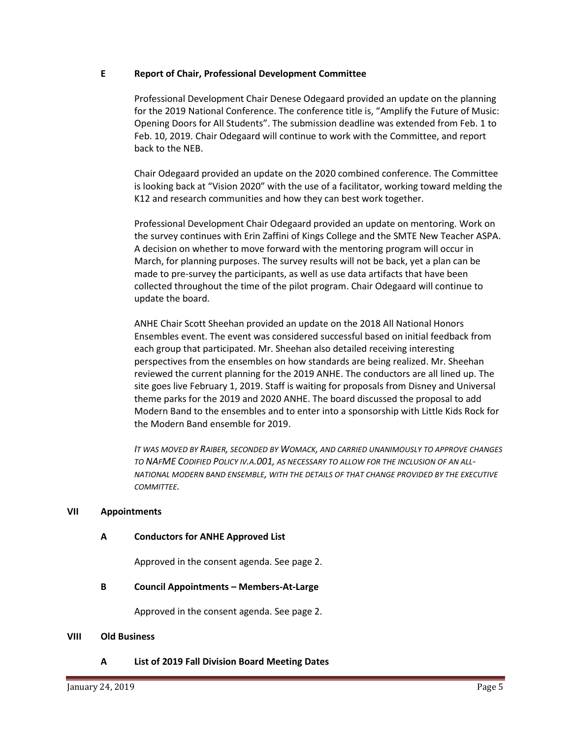#### **E Report of Chair, Professional Development Committee**

Professional Development Chair Denese Odegaard provided an update on the planning for the 2019 National Conference. The conference title is, "Amplify the Future of Music: Opening Doors for All Students". The submission deadline was extended from Feb. 1 to Feb. 10, 2019. Chair Odegaard will continue to work with the Committee, and report back to the NEB.

Chair Odegaard provided an update on the 2020 combined conference. The Committee is looking back at "Vision 2020" with the use of a facilitator, working toward melding the K12 and research communities and how they can best work together.

Professional Development Chair Odegaard provided an update on mentoring. Work on the survey continues with Erin Zaffini of Kings College and the SMTE New Teacher ASPA. A decision on whether to move forward with the mentoring program will occur in March, for planning purposes. The survey results will not be back, yet a plan can be made to pre-survey the participants, as well as use data artifacts that have been collected throughout the time of the pilot program. Chair Odegaard will continue to update the board.

ANHE Chair Scott Sheehan provided an update on the 2018 All National Honors Ensembles event. The event was considered successful based on initial feedback from each group that participated. Mr. Sheehan also detailed receiving interesting perspectives from the ensembles on how standards are being realized. Mr. Sheehan reviewed the current planning for the 2019 ANHE. The conductors are all lined up. The site goes live February 1, 2019. Staff is waiting for proposals from Disney and Universal theme parks for the 2019 and 2020 ANHE. The board discussed the proposal to add Modern Band to the ensembles and to enter into a sponsorship with Little Kids Rock for the Modern Band ensemble for 2019.

*IT WAS MOVED BY RAIBER, SECONDED BY WOMACK, AND CARRIED UNANIMOUSLY TO APPROVE CHANGES TO NAFME CODIFIED POLICY IV.A.001, AS NECESSARY TO ALLOW FOR THE INCLUSION OF AN ALL-NATIONAL MODERN BAND ENSEMBLE, WITH THE DETAILS OF THAT CHANGE PROVIDED BY THE EXECUTIVE COMMITTEE.*

#### **VII Appointments**

#### **A Conductors for ANHE Approved List**

Approved in the consent agenda. See page 2.

#### **B Council Appointments – Members-At-Large**

Approved in the consent agenda. See page 2.

#### **VIII Old Business**

**A List of 2019 Fall Division Board Meeting Dates**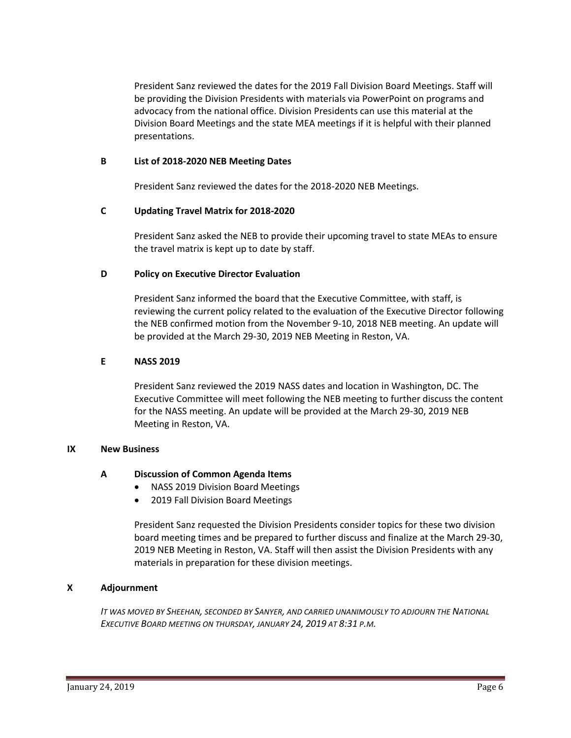President Sanz reviewed the dates for the 2019 Fall Division Board Meetings. Staff will be providing the Division Presidents with materials via PowerPoint on programs and advocacy from the national office. Division Presidents can use this material at the Division Board Meetings and the state MEA meetings if it is helpful with their planned presentations.

#### **B List of 2018-2020 NEB Meeting Dates**

President Sanz reviewed the dates for the 2018-2020 NEB Meetings.

## **C Updating Travel Matrix for 2018-2020**

President Sanz asked the NEB to provide their upcoming travel to state MEAs to ensure the travel matrix is kept up to date by staff.

## **D Policy on Executive Director Evaluation**

President Sanz informed the board that the Executive Committee, with staff, is reviewing the current policy related to the evaluation of the Executive Director following the NEB confirmed motion from the November 9-10, 2018 NEB meeting. An update will be provided at the March 29-30, 2019 NEB Meeting in Reston, VA.

## **E NASS 2019**

President Sanz reviewed the 2019 NASS dates and location in Washington, DC. The Executive Committee will meet following the NEB meeting to further discuss the content for the NASS meeting. An update will be provided at the March 29-30, 2019 NEB Meeting in Reston, VA.

#### **IX New Business**

## **A Discussion of Common Agenda Items**

- NASS 2019 Division Board Meetings
- 2019 Fall Division Board Meetings

President Sanz requested the Division Presidents consider topics for these two division board meeting times and be prepared to further discuss and finalize at the March 29-30, 2019 NEB Meeting in Reston, VA. Staff will then assist the Division Presidents with any materials in preparation for these division meetings.

## **X Adjournment**

*IT WAS MOVED BY SHEEHAN, SECONDED BY SANYER, AND CARRIED UNANIMOUSLY TO ADJOURN THE NATIONAL EXECUTIVE BOARD MEETING ON THURSDAY, JANUARY 24, 2019 AT 8:31 P.M.*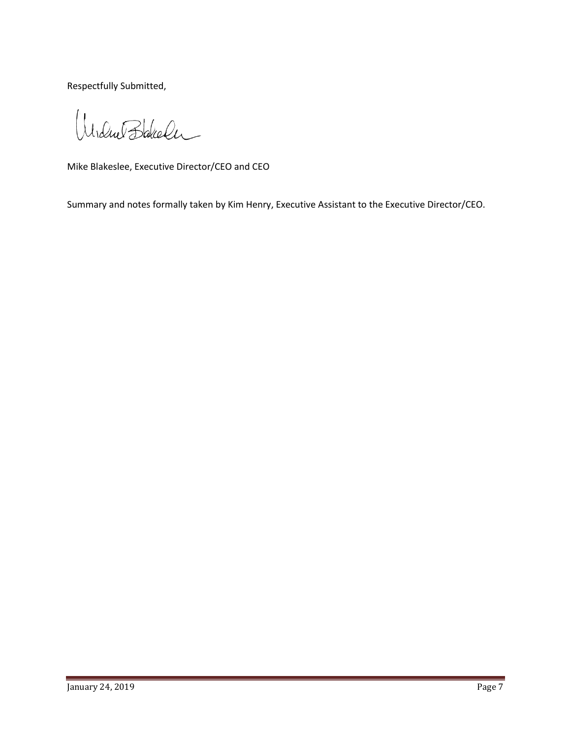Respectfully Submitted,

Undue Bakeler

Mike Blakeslee, Executive Director/CEO and CEO

Summary and notes formally taken by Kim Henry, Executive Assistant to the Executive Director/CEO.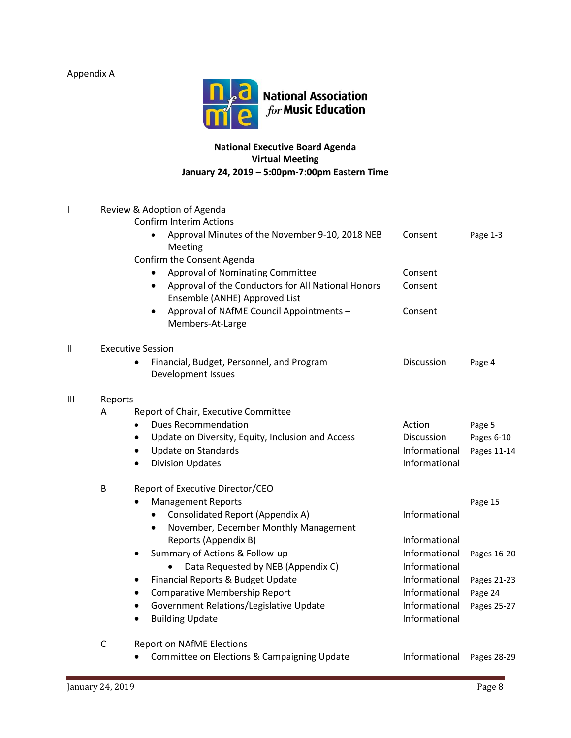Appendix A



# **National Executive Board Agenda Virtual Meeting January 24, 2019 – 5:00pm-7:00pm Eastern Time**

| I            | Review & Adoption of Agenda |                                                                                                  |               |             |  |  |  |
|--------------|-----------------------------|--------------------------------------------------------------------------------------------------|---------------|-------------|--|--|--|
|              |                             | <b>Confirm Interim Actions</b><br>Approval Minutes of the November 9-10, 2018 NEB<br>Meeting     | Consent       | Page 1-3    |  |  |  |
|              |                             | Confirm the Consent Agenda                                                                       |               |             |  |  |  |
|              |                             | <b>Approval of Nominating Committee</b>                                                          | Consent       |             |  |  |  |
|              |                             | Approval of the Conductors for All National Honors<br>$\bullet$<br>Ensemble (ANHE) Approved List | Consent       |             |  |  |  |
|              |                             | Approval of NAfME Council Appointments -<br>Members-At-Large                                     | Consent       |             |  |  |  |
| $\mathbf{I}$ | <b>Executive Session</b>    |                                                                                                  |               |             |  |  |  |
|              |                             | Financial, Budget, Personnel, and Program<br>$\bullet$<br>Development Issues                     | Discussion    | Page 4      |  |  |  |
| Ш            | Reports                     |                                                                                                  |               |             |  |  |  |
|              | A                           | Report of Chair, Executive Committee                                                             |               |             |  |  |  |
|              |                             | <b>Dues Recommendation</b><br>$\bullet$                                                          | Action        | Page 5      |  |  |  |
|              |                             | Update on Diversity, Equity, Inclusion and Access<br>$\bullet$                                   | Discussion    | Pages 6-10  |  |  |  |
|              |                             | Update on Standards<br>$\bullet$                                                                 | Informational | Pages 11-14 |  |  |  |
|              |                             | <b>Division Updates</b><br>$\bullet$                                                             | Informational |             |  |  |  |
|              | B                           | Report of Executive Director/CEO                                                                 |               |             |  |  |  |
|              |                             | <b>Management Reports</b>                                                                        |               | Page 15     |  |  |  |
|              |                             | Consolidated Report (Appendix A)                                                                 | Informational |             |  |  |  |
|              |                             | November, December Monthly Management<br>$\bullet$                                               |               |             |  |  |  |
|              |                             | Reports (Appendix B)                                                                             | Informational |             |  |  |  |
|              |                             | Summary of Actions & Follow-up<br>$\bullet$                                                      | Informational | Pages 16-20 |  |  |  |
|              |                             | Data Requested by NEB (Appendix C)                                                               | Informational |             |  |  |  |
|              |                             | Financial Reports & Budget Update<br>$\bullet$                                                   | Informational | Pages 21-23 |  |  |  |
|              |                             | <b>Comparative Membership Report</b><br>$\bullet$                                                | Informational | Page 24     |  |  |  |
|              |                             | Government Relations/Legislative Update                                                          | Informational | Pages 25-27 |  |  |  |
|              |                             | <b>Building Update</b><br>٠                                                                      | Informational |             |  |  |  |
|              | $\mathsf C$                 | <b>Report on NAfME Elections</b>                                                                 |               |             |  |  |  |
|              |                             | Committee on Elections & Campaigning Update                                                      | Informational | Pages 28-29 |  |  |  |